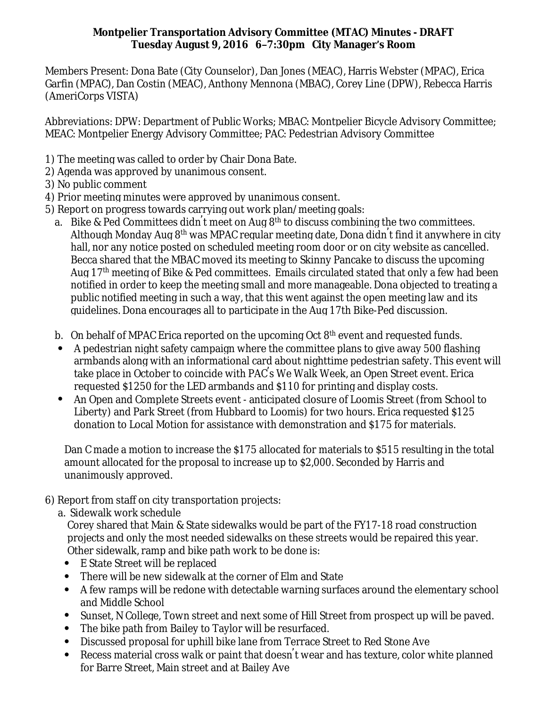## **Montpelier Transportation Advisory Committee (MTAC) Minutes - DRAFT Tuesday August 9, 2016 6–7:30pm City Manager's Room**

Members Present: Dona Bate (City Counselor), Dan Jones (MEAC), Harris Webster (MPAC), Erica Garfin (MPAC), Dan Costin (MEAC), Anthony Mennona (MBAC), Corey Line (DPW), Rebecca Harris (AmeriCorps VISTA)

Abbreviations: DPW: Department of Public Works; MBAC: Montpelier Bicycle Advisory Committee; MEAC: Montpelier Energy Advisory Committee; PAC: Pedestrian Advisory Committee

- 1) The meeting was called to order by Chair Dona Bate.
- 2) Agenda was approved by unanimous consent.
- 3) No public comment
- 4) Prior meeting minutes were approved by unanimous consent.
- 5) Report on progress towards carrying out work plan/meeting goals:
	- a. Bike & Ped Committees didn't meet on Aug  $8^{\rm th}$  to discuss combining the two committees. Although Monday Aug 8<sup>th</sup> was MPAC regular meeting date, Dona didn<sup>'</sup>t find it anywhere in city hall, nor any notice posted on scheduled meeting room door or on city website as cancelled. Becca shared that the MBAC moved its meeting to Skinny Pancake to discuss the upcoming Aug 17th meeting of Bike & Ped committees. Emails circulated stated that only a few had been notified in order to keep the meeting small and more manageable. Dona objected to treating a public notified meeting in such a way, that this went against the open meeting law and its guidelines. Dona encourages all to participate in the Aug 17th Bike-Ped discussion.
	- b. On behalf of MPAC Erica reported on the upcoming Oct  $8<sup>th</sup>$  event and requested funds.
	- A pedestrian night safety campaign where the committee plans to give away 500 flashing armbands along with an informational card about nighttime pedestrian safety. This event will take place in October to coincide with PAC's We Walk Week, an Open Street event. Erica requested \$1250 for the LED armbands and \$110 for printing and display costs.
	- An Open and Complete Streets event anticipated closure of Loomis Street (from School to Liberty) and Park Street (from Hubbard to Loomis) for two hours. Erica requested \$125 donation to Local Motion for assistance with demonstration and \$175 for materials.

Dan C made a motion to increase the \$175 allocated for materials to \$515 resulting in the total amount allocated for the proposal to increase up to \$2,000. Seconded by Harris and unanimously approved.

- 6) Report from staff on city transportation projects:
	- a. Sidewalk work schedule

 Corey shared that Main & State sidewalks would be part of the FY17-18 road construction projects and only the most needed sidewalks on these streets would be repaired this year. Other sidewalk, ramp and bike path work to be done is:

- E State Street will be replaced
- There will be new sidewalk at the corner of Elm and State
- A few ramps will be redone with detectable warning surfaces around the elementary school and Middle School
- Sunset, N College, Town street and next some of Hill Street from prospect up will be paved.
- The bike path from Bailey to Taylor will be resurfaced.
- Discussed proposal for uphill bike lane from Terrace Street to Red Stone Ave
- Recess material cross walk or paint that doesn' t wear and has texture, color white planned for Barre Street, Main street and at Bailey Ave